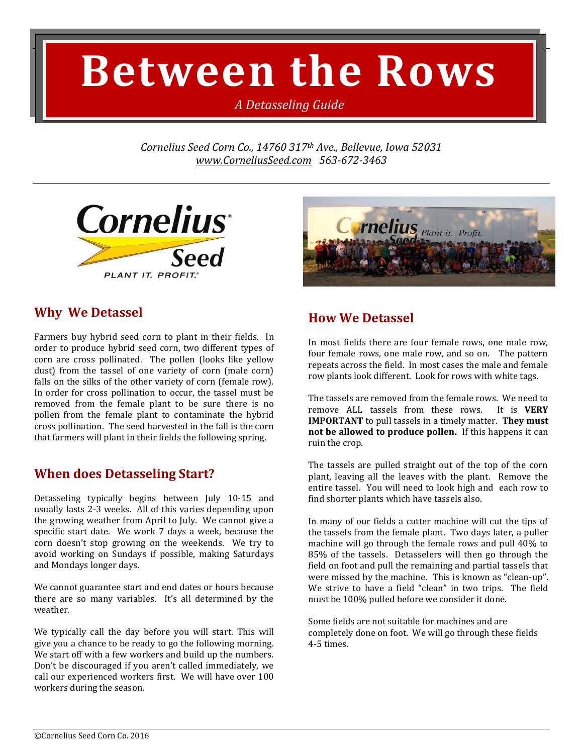# **Between the Rows**

*A Detasseling Guide*

*Cornelius Seed Corn Co., 14760 317th Ave., Bellevue, Iowa 52031 [www.CorneliusSeed.com](http://www.corneliusseed.com/) 563-672-3463*





## **Why We Detassel**

Farmers buy hybrid seed corn to plant in their fields. In order to produce hybrid seed corn, two different types of corn are cross pollinated. The pollen (looks like yellow dust) from the tassel of one variety of corn (male corn) falls on the silks of the other variety of corn (female row). In order for cross pollination to occur, the tassel must be removed from the female plant to be sure there is no pollen from the female plant to contaminate the hybrid cross pollination. The seed harvested in the fall is the corn that farmers will plant in their fields the following spring.

# **When does Detasseling Start?**

Detasseling typically begins between July 10-15 and usually lasts 2-3 weeks. All of this varies depending upon the growing weather from April to July. We cannot give a specific start date. We work 7 days a week, because the corn doesn't stop growing on the weekends. We try to avoid working on Sundays if possible, making Saturdays and Mondays longer days.

We cannot guarantee start and end dates or hours because there are so many variables. It's all determined by the weather.

We typically call the day before you will start. This will give you a chance to be ready to go the following morning. We start off with a few workers and build up the numbers. Don't be discouraged if you aren't called immediately, we call our experienced workers first. We will have over 100 workers during the season.

# **How We Detassel**

In most fields there are four female rows, one male row, four female rows, one male row, and so on. The pattern repeats across the field. In most cases the male and female row plants look different. Look for rows with white tags.

The tassels are removed from the female rows. We need to remove ALL tassels from these rows. It is **VERY IMPORTANT** to pull tassels in a timely matter. **They must not be allowed to produce pollen.** If this happens it can ruin the crop.

The tassels are pulled straight out of the top of the corn plant, leaving all the leaves with the plant. Remove the entire tassel. You will need to look high and each row to find shorter plants which have tassels also.

In many of our fields a cutter machine will cut the tips of the tassels from the female plant. Two days later, a puller machine will go through the female rows and pull 40% to 85% of the tassels. Detasselers will then go through the field on foot and pull the remaining and partial tassels that were missed by the machine. This is known as "clean-up". We strive to have a field "clean" in two trips. The field must be 100% pulled before we consider it done.

Some fields are not suitable for machines and are completely done on foot. We will go through these fields 4-5 times.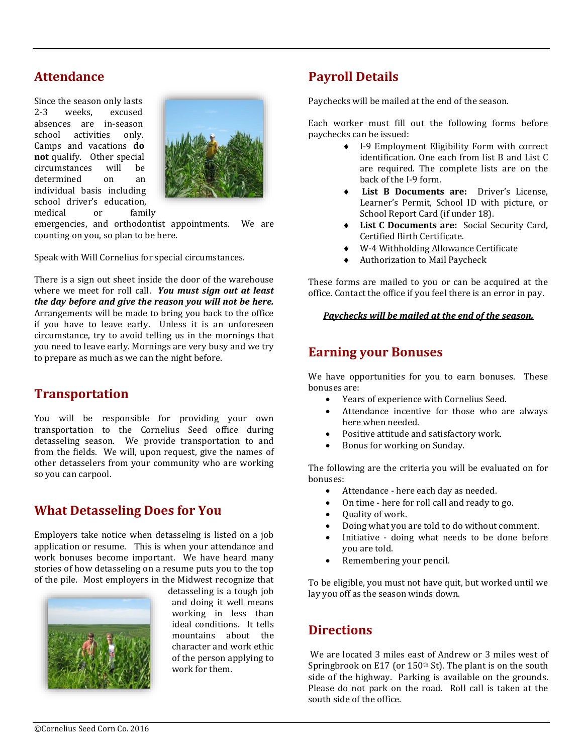## **Attendance**

Since the season only lasts 2-3 weeks, excused absences are in-season school activities only. Camps and vacations **do not** qualify. Other special circumstances will be determined on an individual basis including school driver's education,



medical or family

emergencies, and orthodontist appointments. We are counting on you, so plan to be here.

Speak with Will Cornelius for special circumstances.

There is a sign out sheet inside the door of the warehouse where we meet for roll call. *You must sign out at least the day before and give the reason you will not be here.* Arrangements will be made to bring you back to the office if you have to leave early. Unless it is an unforeseen circumstance, try to avoid telling us in the mornings that you need to leave early. Mornings are very busy and we try to prepare as much as we can the night before.

#### **Transportation**

You will be responsible for providing your own transportation to the Cornelius Seed office during detasseling season. We provide transportation to and from the fields. We will, upon request, give the names of other detasselers from your community who are working so you can carpool.

#### **What Detasseling Does for You**

Employers take notice when detasseling is listed on a job application or resume. This is when your attendance and work bonuses become important. We have heard many stories of how detasseling on a resume puts you to the top of the pile. Most employers in the Midwest recognize that



detasseling is a tough job and doing it well means working in less than ideal conditions. It tells mountains about the character and work ethic of the person applying to work for them.

# **Payroll Details**

Paychecks will be mailed at the end of the season.

Each worker must fill out the following forms before paychecks can be issued:

- I-9 Employment Eligibility Form with correct identification. One each from list B and List C are required. The complete lists are on the back of the I-9 form.
- **List B Documents are:** Driver's License, Learner's Permit, School ID with picture, or School Report Card (if under 18).
- **List C Documents are:** Social Security Card, Certified Birth Certificate.
- W-4 Withholding Allowance Certificate
- Authorization to Mail Paycheck

These forms are mailed to you or can be acquired at the office. Contact the office if you feel there is an error in pay.

#### *Paychecks will be mailed at the end of the season.*

#### **Earning your Bonuses**

We have opportunities for you to earn bonuses. These bonuses are:

- Years of experience with Cornelius Seed.
- Attendance incentive for those who are always here when needed.
- Positive attitude and satisfactory work.
- Bonus for working on Sunday.

The following are the criteria you will be evaluated on for bonuses:

- Attendance here each day as needed.
- On time here for roll call and ready to go.
- Quality of work.
- Doing what you are told to do without comment.
- Initiative doing what needs to be done before you are told.
- Remembering your pencil.

To be eligible, you must not have quit, but worked until we lay you off as the season winds down.

#### **Directions**

We are located 3 miles east of Andrew or 3 miles west of Springbrook on E17 (or  $150<sup>th</sup>$  St). The plant is on the south side of the highway. Parking is available on the grounds. Please do not park on the road. Roll call is taken at the south side of the office.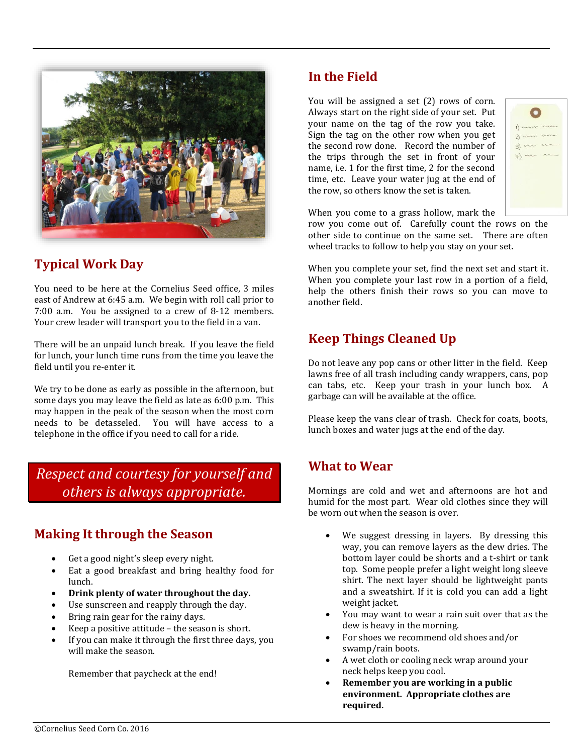

# **Typical Work Day**

You need to be here at the Cornelius Seed office, 3 miles east of Andrew at 6:45 a.m. We begin with roll call prior to 7:00 a.m. You be assigned to a crew of 8-12 members. Your crew leader will transport you to the field in a van.

There will be an unpaid lunch break. If you leave the field for lunch, your lunch time runs from the time you leave the field until you re-enter it.

We try to be done as early as possible in the afternoon, but some days you may leave the field as late as 6:00 p.m. This may happen in the peak of the season when the most corn needs to be detasseled. You will have access to a telephone in the office if you need to call for a ride.

*Respect and courtesy for yourself and others is always appropriate.*

# **Making It through the Season**

- Get a good night's sleep every night.
- Eat a good breakfast and bring healthy food for lunch.
- **Drink plenty of water throughout the day.**
- Use sunscreen and reapply through the day.
- Bring rain gear for the rainy days.
- Keep a positive attitude the season is short.
- If you can make it through the first three days, you will make the season.

Remember that paycheck at the end!

# **In the Field**

You will be assigned a set (2) rows of corn. Always start on the right side of your set. Put your name on the tag of the row you take. Sign the tag on the other row when you get the second row done. Record the number of the trips through the set in front of your name, i.e. 1 for the first time, 2 for the second time, etc. Leave your water jug at the end of the row, so others know the set is taken.

| 2)<br>3)<br>$4)$ - |  |
|--------------------|--|
|                    |  |
|                    |  |
|                    |  |
|                    |  |

When you come to a grass hollow, mark the

row you come out of. Carefully count the rows on the other side to continue on the same set. There are often wheel tracks to follow to help you stay on your set.

When you complete your set, find the next set and start it. When you complete your last row in a portion of a field, help the others finish their rows so you can move to another field.

# **Keep Things Cleaned Up**

Do not leave any pop cans or other litter in the field. Keep lawns free of all trash including candy wrappers, cans, pop can tabs, etc. Keep your trash in your lunch box. A garbage can will be available at the office.

Please keep the vans clear of trash. Check for coats, boots, lunch boxes and water jugs at the end of the day.

#### **What to Wear**

Mornings are cold and wet and afternoons are hot and humid for the most part. Wear old clothes since they will be worn out when the season is over.

- We suggest dressing in layers. By dressing this way, you can remove layers as the dew dries. The bottom layer could be shorts and a t-shirt or tank top. Some people prefer a light weight long sleeve shirt. The next layer should be lightweight pants and a sweatshirt. If it is cold you can add a light weight jacket.
- You may want to wear a rain suit over that as the dew is heavy in the morning.
- For shoes we recommend old shoes and/or swamp/rain boots.
- A wet cloth or cooling neck wrap around your neck helps keep you cool.
- **Remember you are working in a public environment. Appropriate clothes are required.**